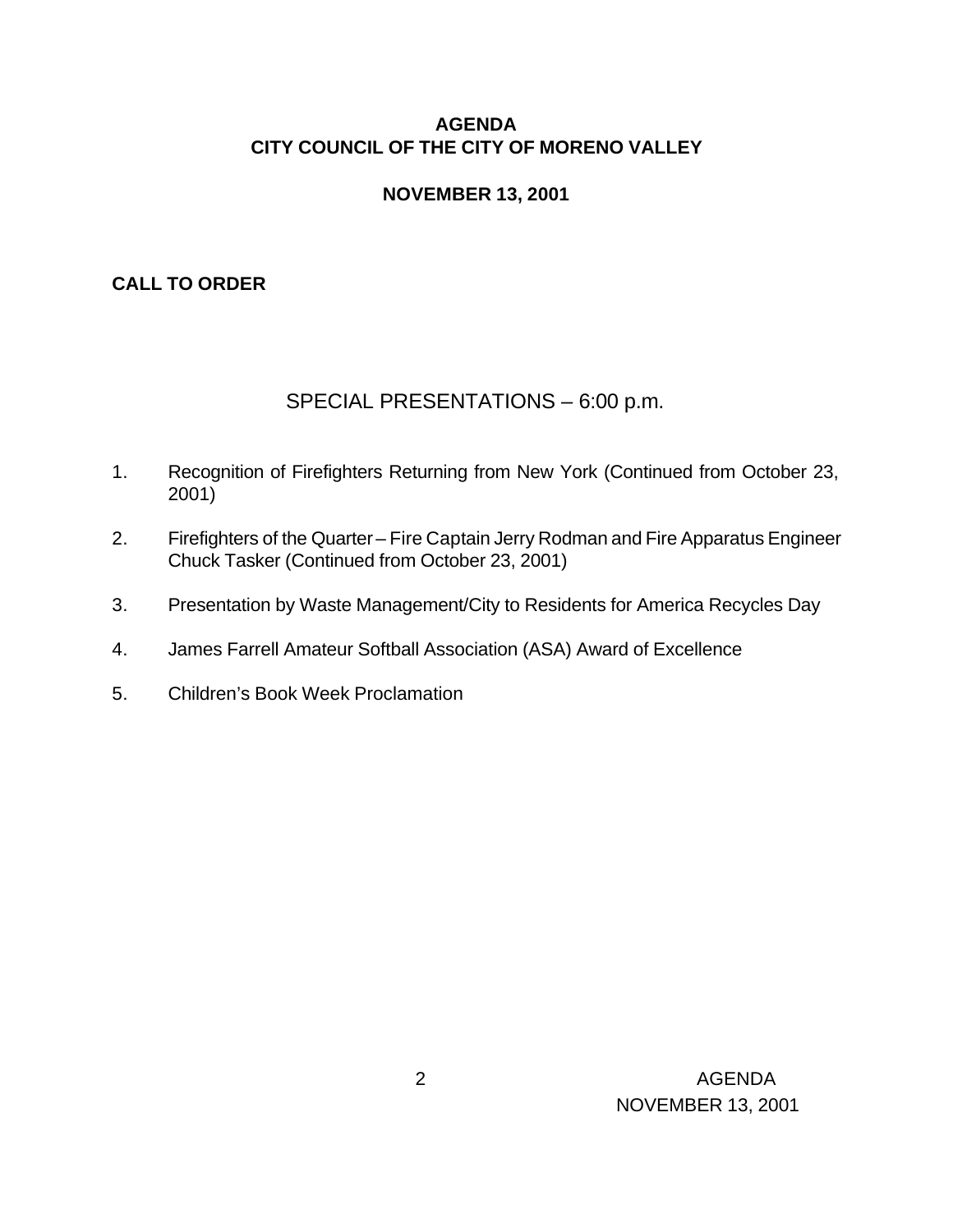### **AGENDA CITY COUNCIL OF THE CITY OF MORENO VALLEY**

#### **NOVEMBER 13, 2001**

#### **CALL TO ORDER**

### SPECIAL PRESENTATIONS – 6:00 p.m.

- 1. Recognition of Firefighters Returning from New York (Continued from October 23, 2001)
- 2. Firefighters of the Quarter Fire Captain Jerry Rodman and Fire Apparatus Engineer Chuck Tasker (Continued from October 23, 2001)
- 3. Presentation by Waste Management/City to Residents for America Recycles Day
- 4. James Farrell Amateur Softball Association (ASA) Award of Excellence
- 5. Children's Book Week Proclamation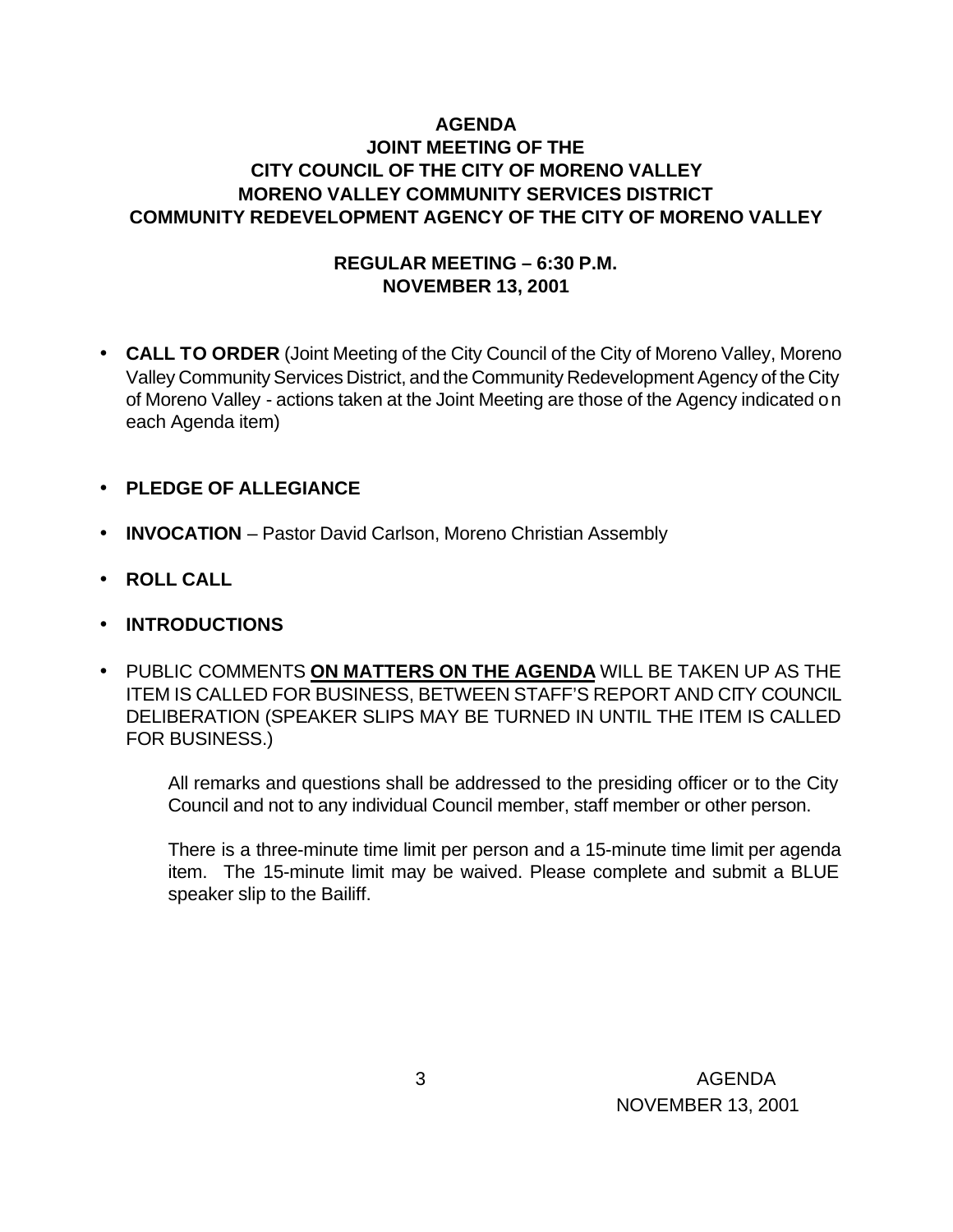### **AGENDA JOINT MEETING OF THE CITY COUNCIL OF THE CITY OF MORENO VALLEY MORENO VALLEY COMMUNITY SERVICES DISTRICT COMMUNITY REDEVELOPMENT AGENCY OF THE CITY OF MORENO VALLEY**

### **REGULAR MEETING – 6:30 P.M. NOVEMBER 13, 2001**

- **CALL TO ORDER** (Joint Meeting of the City Council of the City of Moreno Valley, Moreno Valley Community Services District, and the Community Redevelopment Agency of the City of Moreno Valley - actions taken at the Joint Meeting are those of the Agency indicated on each Agenda item)
- **PLEDGE OF ALLEGIANCE**
- **INVOCATION** Pastor David Carlson, Moreno Christian Assembly
- **ROLL CALL**
- **INTRODUCTIONS**
- PUBLIC COMMENTS **ON MATTERS ON THE AGENDA** WILL BE TAKEN UP AS THE ITEM IS CALLED FOR BUSINESS, BETWEEN STAFF'S REPORT AND CITY COUNCIL DELIBERATION (SPEAKER SLIPS MAY BE TURNED IN UNTIL THE ITEM IS CALLED FOR BUSINESS.)

All remarks and questions shall be addressed to the presiding officer or to the City Council and not to any individual Council member, staff member or other person.

There is a three-minute time limit per person and a 15-minute time limit per agenda item. The 15-minute limit may be waived. Please complete and submit a BLUE speaker slip to the Bailiff.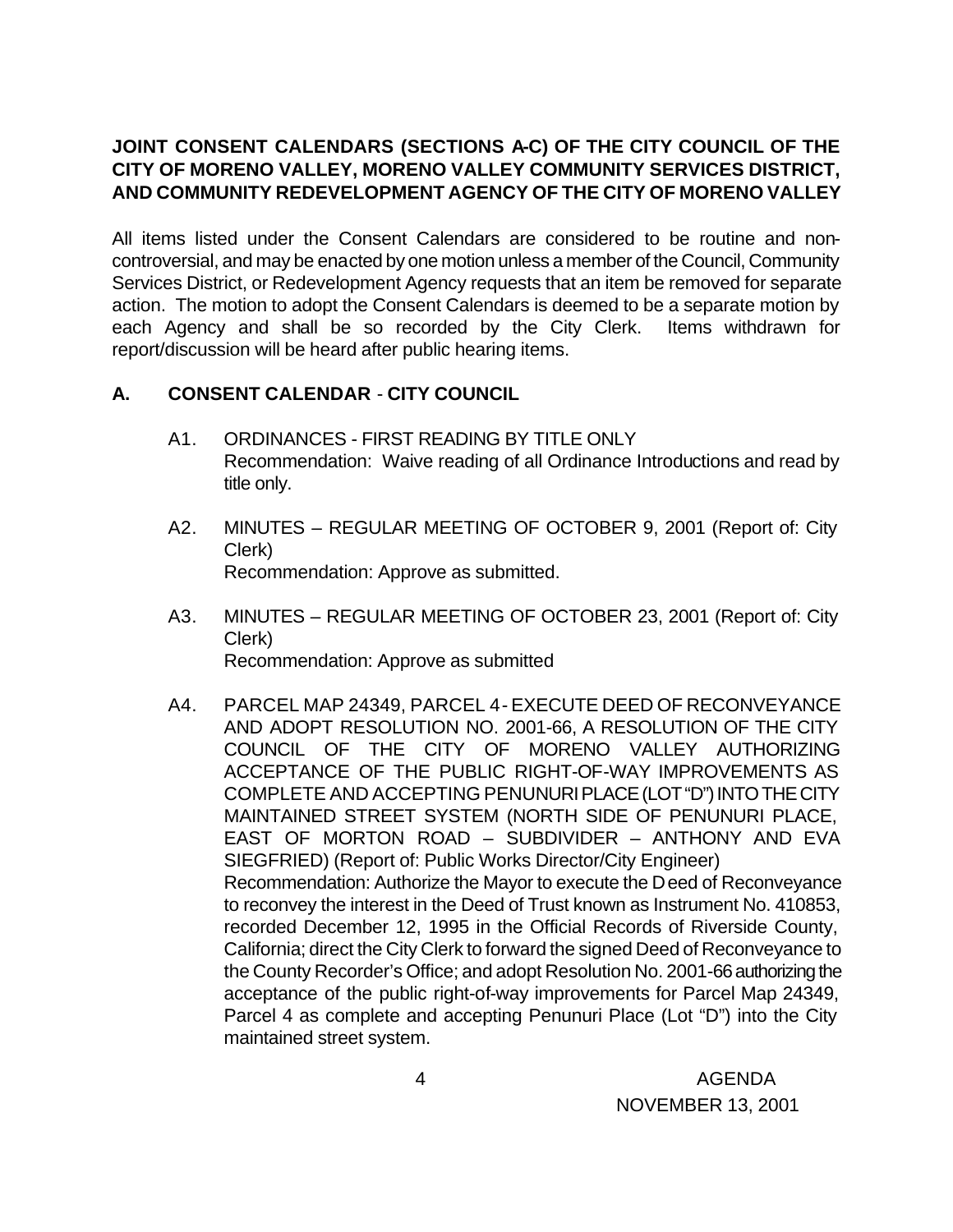# **JOINT CONSENT CALENDARS (SECTIONS A-C) OF THE CITY COUNCIL OF THE CITY OF MORENO VALLEY, MORENO VALLEY COMMUNITY SERVICES DISTRICT, AND COMMUNITY REDEVELOPMENT AGENCY OF THE CITY OF MORENO VALLEY**

All items listed under the Consent Calendars are considered to be routine and noncontroversial, and may be enacted by one motion unless a member of the Council, Community Services District, or Redevelopment Agency requests that an item be removed for separate action. The motion to adopt the Consent Calendars is deemed to be a separate motion by each Agency and shall be so recorded by the City Clerk. Items withdrawn for report/discussion will be heard after public hearing items.

# **A. CONSENT CALENDAR** - **CITY COUNCIL**

- A1. ORDINANCES FIRST READING BY TITLE ONLY Recommendation: Waive reading of all Ordinance Introductions and read by title only.
- A2. MINUTES REGULAR MEETING OF OCTOBER 9, 2001 (Report of: City Clerk) Recommendation: Approve as submitted.
- A3. MINUTES REGULAR MEETING OF OCTOBER 23, 2001 (Report of: City Clerk) Recommendation: Approve as submitted
- A4. PARCEL MAP 24349, PARCEL 4 EXECUTE DEED OF RECONVEYANCE AND ADOPT RESOLUTION NO. 2001-66, A RESOLUTION OF THE CITY COUNCIL OF THE CITY OF MORENO VALLEY AUTHORIZING ACCEPTANCE OF THE PUBLIC RIGHT-OF-WAY IMPROVEMENTS AS COMPLETE AND ACCEPTING PENUNURI PLACE (LOT "D") INTO THE CITY MAINTAINED STREET SYSTEM (NORTH SIDE OF PENUNURI PLACE, EAST OF MORTON ROAD – SUBDIVIDER – ANTHONY AND EVA SIEGFRIED) (Report of: Public Works Director/City Engineer) Recommendation: Authorize the Mayor to execute the Deed of Reconveyance to reconvey the interest in the Deed of Trust known as Instrument No. 410853, recorded December 12, 1995 in the Official Records of Riverside County, California; direct the City Clerk to forward the signed Deed of Reconveyance to the County Recorder's Office; and adopt Resolution No. 2001-66 authorizing the acceptance of the public right-of-way improvements for Parcel Map 24349, Parcel 4 as complete and accepting Penunuri Place (Lot "D") into the City maintained street system.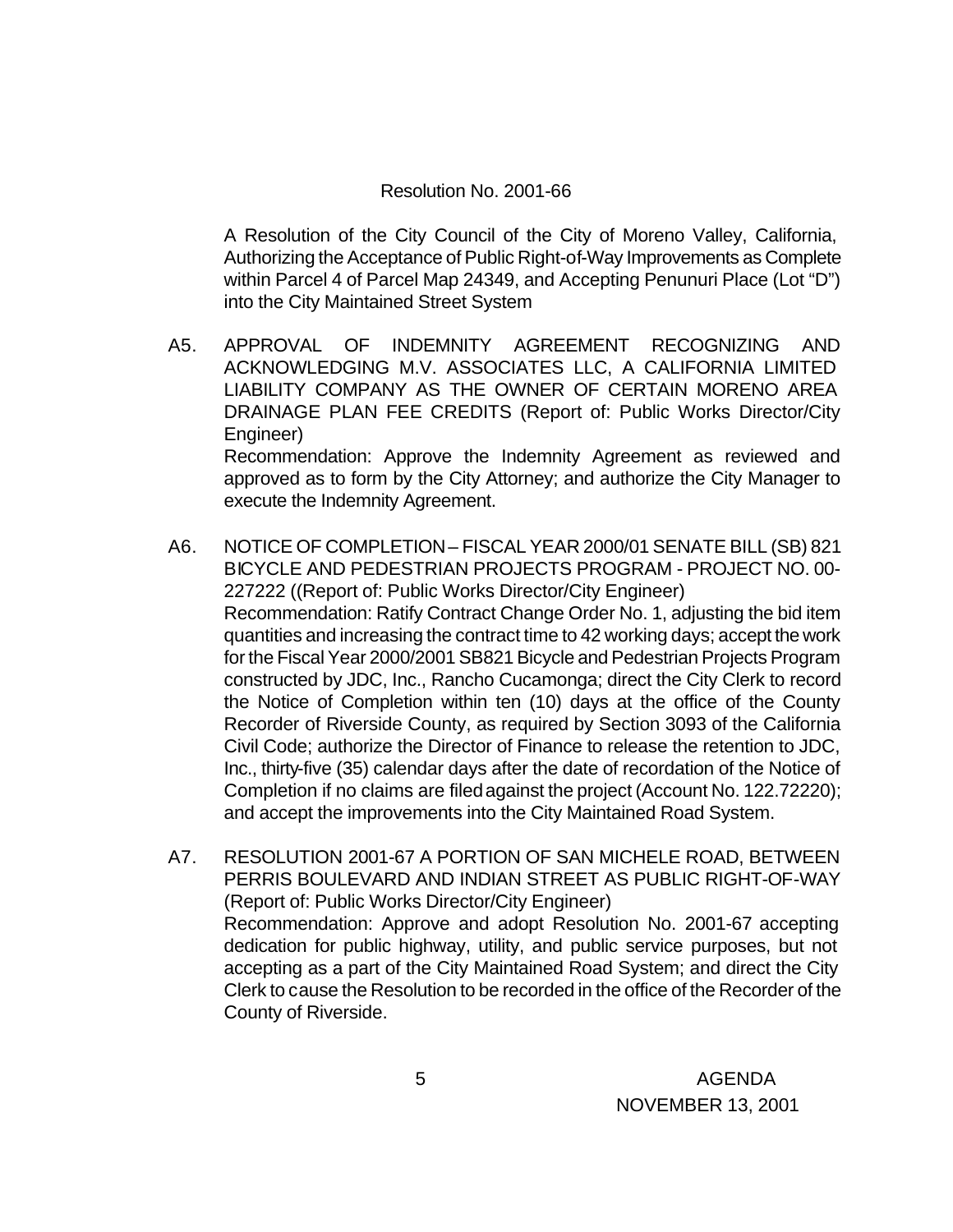#### Resolution No. 2001-66

A Resolution of the City Council of the City of Moreno Valley, California, Authorizing the Acceptance of Public Right-of-Way Improvements as Complete within Parcel 4 of Parcel Map 24349, and Accepting Penunuri Place (Lot "D") into the City Maintained Street System

- A5. APPROVAL OF INDEMNITY AGREEMENT RECOGNIZING AND ACKNOWLEDGING M.V. ASSOCIATES LLC, A CALIFORNIA LIMITED LIABILITY COMPANY AS THE OWNER OF CERTAIN MORENO AREA DRAINAGE PLAN FEE CREDITS (Report of: Public Works Director/City Engineer) Recommendation: Approve the Indemnity Agreement as reviewed and approved as to form by the City Attorney; and authorize the City Manager to execute the Indemnity Agreement.
- A6. NOTICE OF COMPLETION FISCAL YEAR 2000/01 SENATE BILL (SB) 821 BICYCLE AND PEDESTRIAN PROJECTS PROGRAM - PROJECT NO. 00- 227222 ((Report of: Public Works Director/City Engineer) Recommendation: Ratify Contract Change Order No. 1, adjusting the bid item quantities and increasing the contract time to 42 working days; accept the work for the Fiscal Year 2000/2001 SB821 Bicycle and Pedestrian Projects Program constructed by JDC, Inc., Rancho Cucamonga; direct the City Clerk to record the Notice of Completion within ten (10) days at the office of the County Recorder of Riverside County, as required by Section 3093 of the California Civil Code; authorize the Director of Finance to release the retention to JDC, Inc., thirty-five (35) calendar days after the date of recordation of the Notice of Completion if no claims are filed against the project (Account No. 122.72220); and accept the improvements into the City Maintained Road System.
- A7. RESOLUTION 2001-67 A PORTION OF SAN MICHELE ROAD, BETWEEN PERRIS BOULEVARD AND INDIAN STREET AS PUBLIC RIGHT-OF-WAY (Report of: Public Works Director/City Engineer) Recommendation: Approve and adopt Resolution No. 2001-67 accepting dedication for public highway, utility, and public service purposes, but not accepting as a part of the City Maintained Road System; and direct the City Clerk to cause the Resolution to be recorded in the office of the Recorder of the County of Riverside.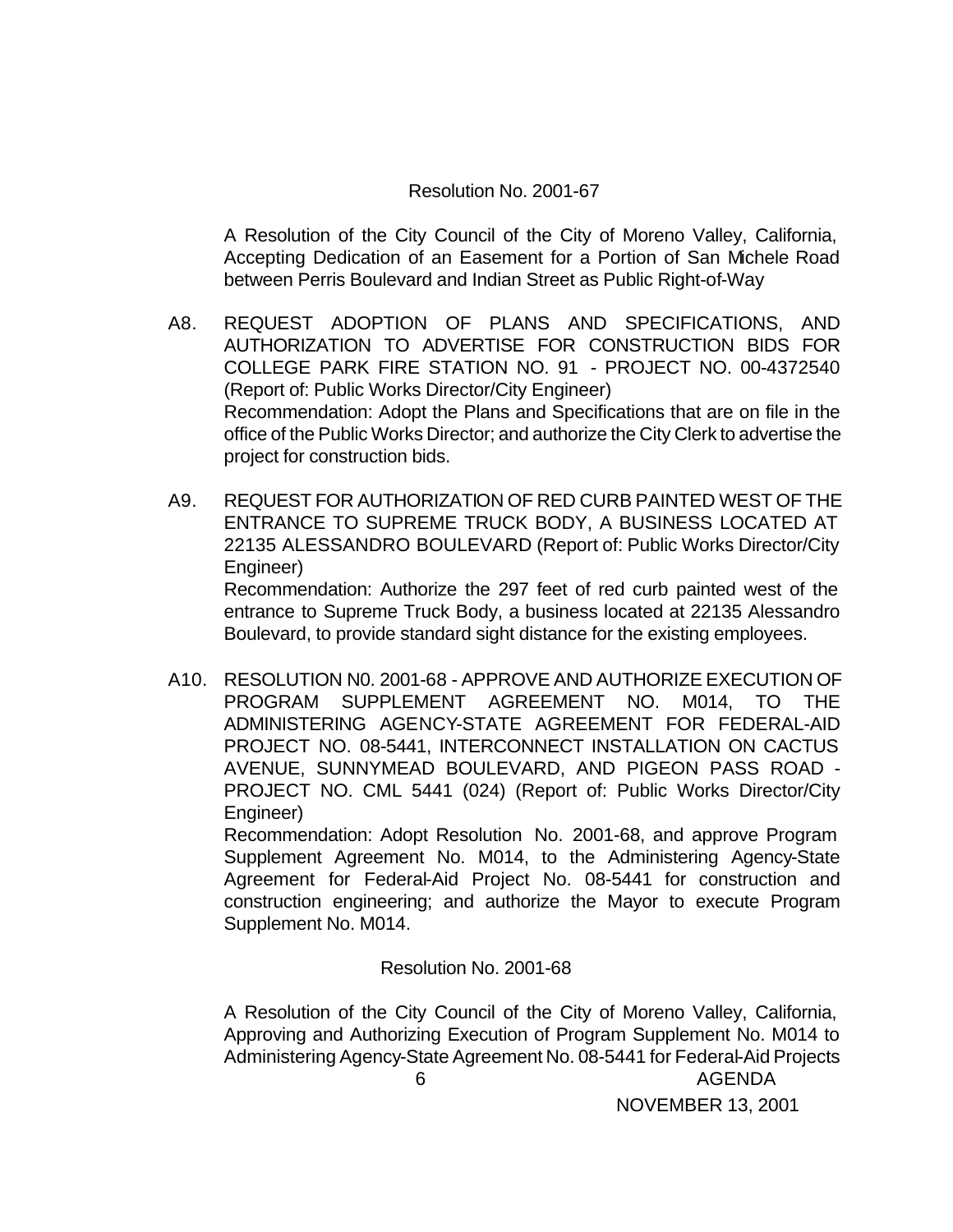#### Resolution No. 2001-67

A Resolution of the City Council of the City of Moreno Valley, California, Accepting Dedication of an Easement for a Portion of San Michele Road between Perris Boulevard and Indian Street as Public Right-of-Way

- A8. REQUEST ADOPTION OF PLANS AND SPECIFICATIONS, AND AUTHORIZATION TO ADVERTISE FOR CONSTRUCTION BIDS FOR COLLEGE PARK FIRE STATION NO. 91 - PROJECT NO. 00-4372540 (Report of: Public Works Director/City Engineer) Recommendation: Adopt the Plans and Specifications that are on file in the office of the Public Works Director; and authorize the City Clerk to advertise the project for construction bids.
- A9. REQUEST FOR AUTHORIZATION OF RED CURB PAINTED WEST OF THE ENTRANCE TO SUPREME TRUCK BODY, A BUSINESS LOCATED AT 22135 ALESSANDRO BOULEVARD (Report of: Public Works Director/City Engineer) Recommendation: Authorize the 297 feet of red curb painted west of the entrance to Supreme Truck Body, a business located at 22135 Alessandro Boulevard, to provide standard sight distance for the existing employees.
- A10. RESOLUTION N0. 2001-68 APPROVE AND AUTHORIZE EXECUTION OF PROGRAM SUPPLEMENT AGREEMENT NO. M014, TO THE ADMINISTERING AGENCY-STATE AGREEMENT FOR FEDERAL-AID PROJECT NO. 08-5441, INTERCONNECT INSTALLATION ON CACTUS AVENUE, SUNNYMEAD BOULEVARD, AND PIGEON PASS ROAD - PROJECT NO. CML 5441 (024) (Report of: Public Works Director/City Engineer)

Recommendation: Adopt Resolution No. 2001-68, and approve Program Supplement Agreement No. M014, to the Administering Agency-State Agreement for Federal-Aid Project No. 08-5441 for construction and construction engineering; and authorize the Mayor to execute Program Supplement No. M014.

Resolution No. 2001-68

 6 AGENDA NOVEMBER 13, 2001 A Resolution of the City Council of the City of Moreno Valley, California, Approving and Authorizing Execution of Program Supplement No. M014 to Administering Agency-State Agreement No. 08-5441 for Federal-Aid Projects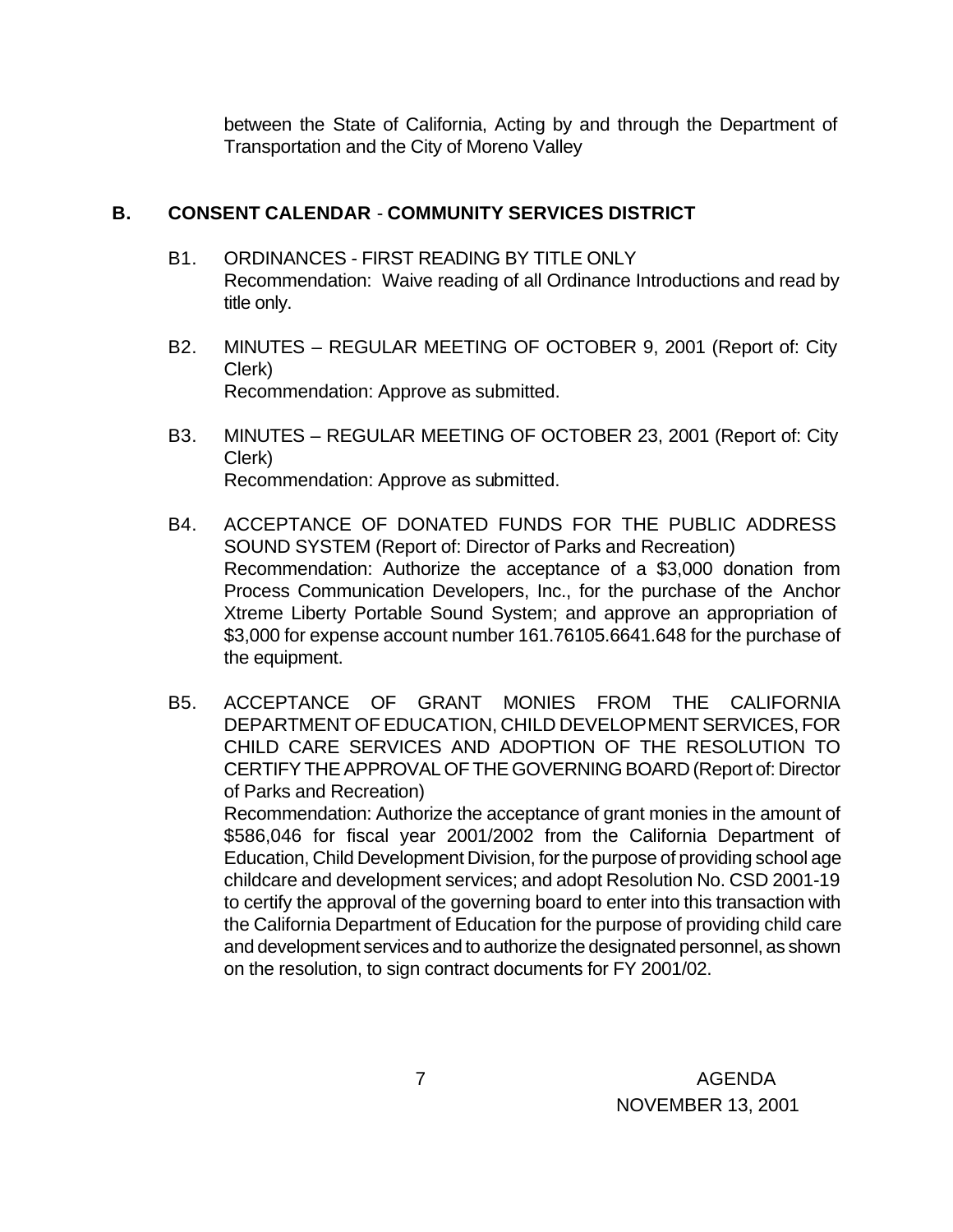between the State of California, Acting by and through the Department of Transportation and the City of Moreno Valley

### **B. CONSENT CALENDAR** - **COMMUNITY SERVICES DISTRICT**

- B1. ORDINANCES FIRST READING BY TITLE ONLY Recommendation: Waive reading of all Ordinance Introductions and read by title only.
- B2. MINUTES REGULAR MEETING OF OCTOBER 9, 2001 (Report of: City Clerk) Recommendation: Approve as submitted.
- B3. MINUTES REGULAR MEETING OF OCTOBER 23, 2001 (Report of: City Clerk) Recommendation: Approve as submitted.
- B4. ACCEPTANCE OF DONATED FUNDS FOR THE PUBLIC ADDRESS SOUND SYSTEM (Report of: Director of Parks and Recreation) Recommendation: Authorize the acceptance of a \$3,000 donation from Process Communication Developers, Inc., for the purchase of the Anchor Xtreme Liberty Portable Sound System; and approve an appropriation of \$3,000 for expense account number 161.76105.6641.648 for the purchase of the equipment.
- B5. ACCEPTANCE OF GRANT MONIES FROM THE CALIFORNIA DEPARTMENT OF EDUCATION, CHILD DEVELOPMENT SERVICES, FOR CHILD CARE SERVICES AND ADOPTION OF THE RESOLUTION TO CERTIFY THE APPROVAL OF THE GOVERNING BOARD (Report of: Director of Parks and Recreation) Recommendation: Authorize the acceptance of grant monies in the amount of \$586,046 for fiscal year 2001/2002 from the California Department of Education, Child Development Division, for the purpose of providing school age childcare and development services; and adopt Resolution No. CSD 2001-19 to certify the approval of the governing board to enter into this transaction with the California Department of Education for the purpose of providing child care and development services and to authorize the designated personnel, as shown

on the resolution, to sign contract documents for FY 2001/02.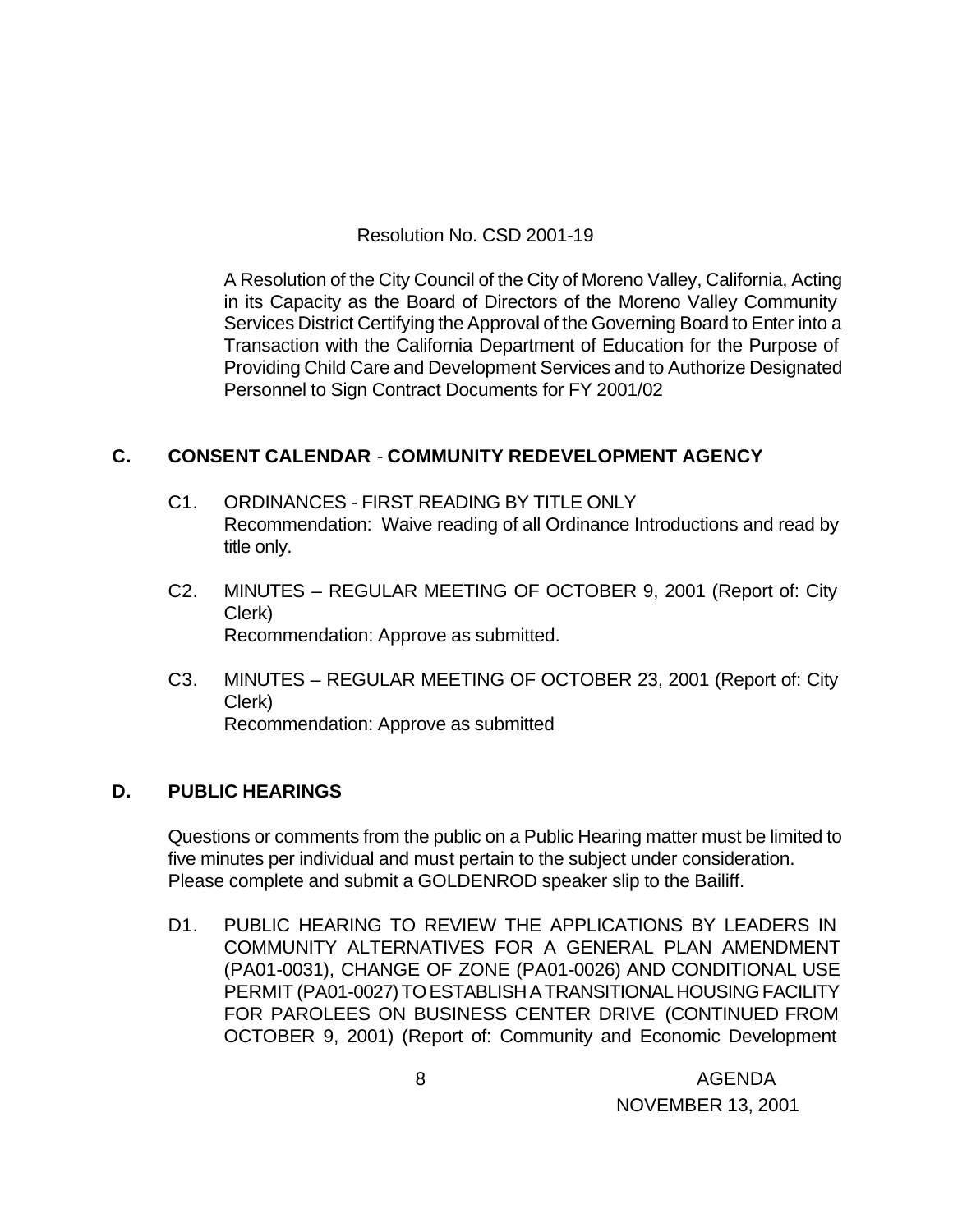Resolution No. CSD 2001-19

A Resolution of the City Council of the City of Moreno Valley, California, Acting in its Capacity as the Board of Directors of the Moreno Valley Community Services District Certifying the Approval of the Governing Board to Enter into a Transaction with the California Department of Education for the Purpose of Providing Child Care and Development Services and to Authorize Designated Personnel to Sign Contract Documents for FY 2001/02

# **C. CONSENT CALENDAR** - **COMMUNITY REDEVELOPMENT AGENCY**

- C1. ORDINANCES FIRST READING BY TITLE ONLY Recommendation: Waive reading of all Ordinance Introductions and read by title only.
- C2. MINUTES REGULAR MEETING OF OCTOBER 9, 2001 (Report of: City Clerk) Recommendation: Approve as submitted.
- C3. MINUTES REGULAR MEETING OF OCTOBER 23, 2001 (Report of: City Clerk) Recommendation: Approve as submitted

### **D. PUBLIC HEARINGS**

Questions or comments from the public on a Public Hearing matter must be limited to five minutes per individual and must pertain to the subject under consideration. Please complete and submit a GOLDENROD speaker slip to the Bailiff.

D1. PUBLIC HEARING TO REVIEW THE APPLICATIONS BY LEADERS IN COMMUNITY ALTERNATIVES FOR A GENERAL PLAN AMENDMENT (PA01-0031), CHANGE OF ZONE (PA01-0026) AND CONDITIONAL USE PERMIT (PA01-0027) TO ESTABLISH A TRANSITIONAL HOUSING FACILITY FOR PAROLEES ON BUSINESS CENTER DRIVE (CONTINUED FROM OCTOBER 9, 2001) (Report of: Community and Economic Development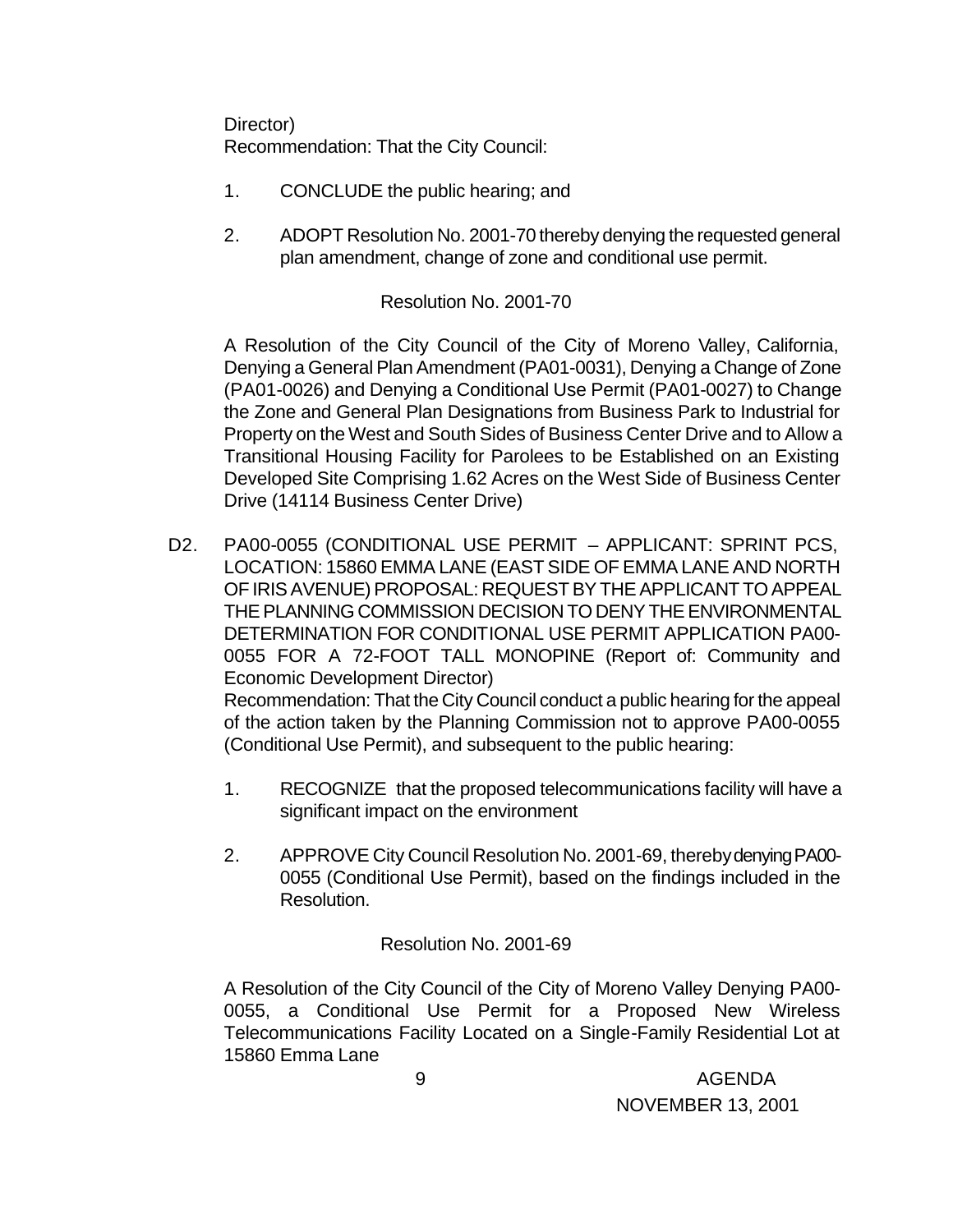Director) Recommendation: That the City Council:

- 1. CONCLUDE the public hearing; and
- 2. ADOPT Resolution No. 2001-70 thereby denying the requested general plan amendment, change of zone and conditional use permit.

Resolution No. 2001-70

A Resolution of the City Council of the City of Moreno Valley, California, Denying a General Plan Amendment (PA01-0031), Denying a Change of Zone (PA01-0026) and Denying a Conditional Use Permit (PA01-0027) to Change the Zone and General Plan Designations from Business Park to Industrial for Property on the West and South Sides of Business Center Drive and to Allow a Transitional Housing Facility for Parolees to be Established on an Existing Developed Site Comprising 1.62 Acres on the West Side of Business Center Drive (14114 Business Center Drive)

D2. PA00-0055 (CONDITIONAL USE PERMIT – APPLICANT: SPRINT PCS, LOCATION: 15860 EMMA LANE (EAST SIDE OF EMMA LANE AND NORTH OF IRIS AVENUE) PROPOSAL: REQUEST BY THE APPLICANT TO APPEAL THE PLANNING COMMISSION DECISION TO DENY THE ENVIRONMENTAL DETERMINATION FOR CONDITIONAL USE PERMIT APPLICATION PA00- 0055 FOR A 72-FOOT TALL MONOPINE (Report of: Community and Economic Development Director) Recommendation: That the City Council conduct a public hearing for the appeal

of the action taken by the Planning Commission not to approve PA00-0055 (Conditional Use Permit), and subsequent to the public hearing:

- 1. RECOGNIZE that the proposed telecommunications facility will have a significant impact on the environment
- 2. APPROVE City Council Resolution No. 2001-69, thereby denying PA00- 0055 (Conditional Use Permit), based on the findings included in the Resolution.

Resolution No. 2001-69

A Resolution of the City Council of the City of Moreno Valley Denying PA00- 0055, a Conditional Use Permit for a Proposed New Wireless Telecommunications Facility Located on a Single-Family Residential Lot at 15860 Emma Lane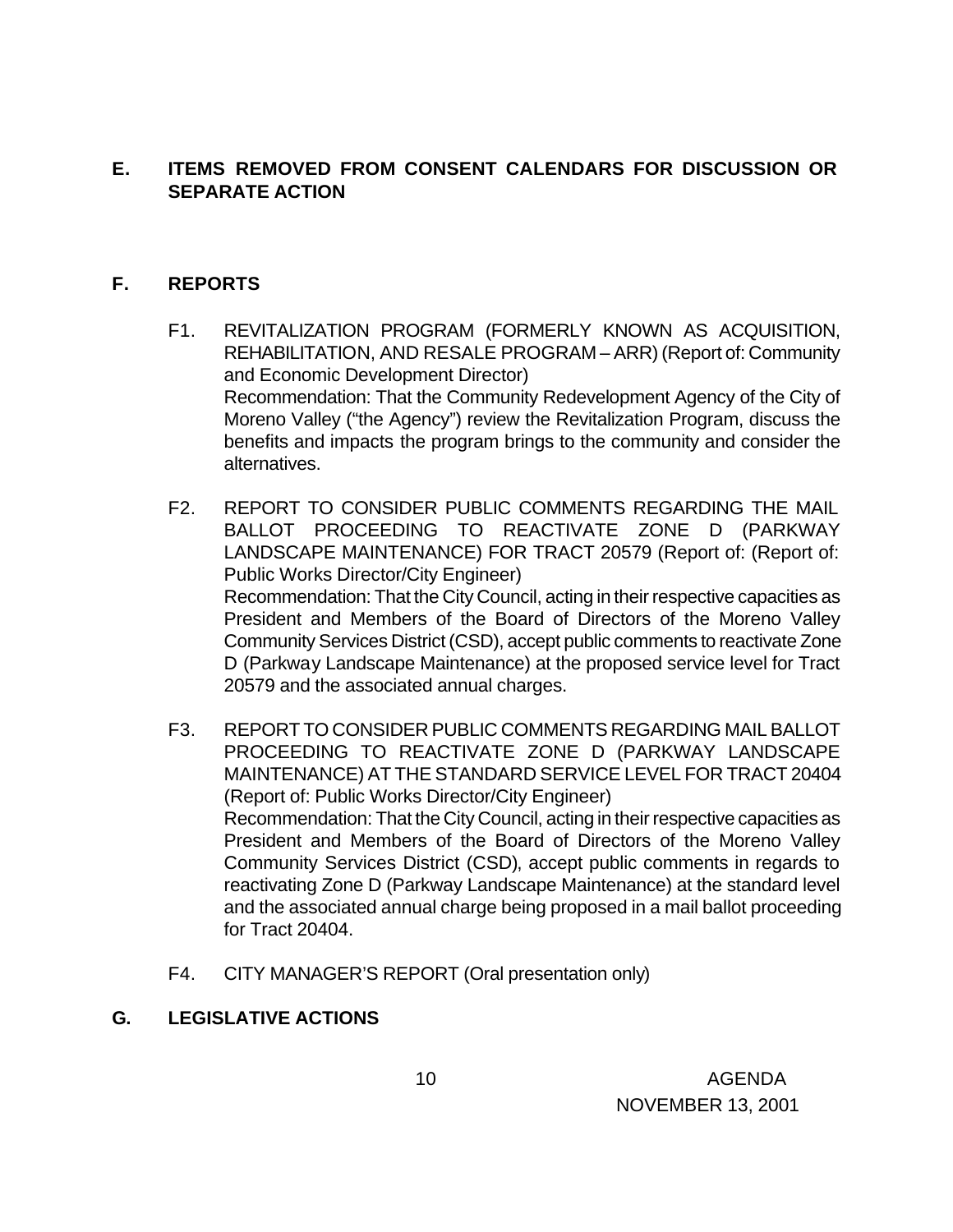### **E. ITEMS REMOVED FROM CONSENT CALENDARS FOR DISCUSSION OR SEPARATE ACTION**

### **F. REPORTS**

- F1. REVITALIZATION PROGRAM (FORMERLY KNOWN AS ACQUISITION, REHABILITATION, AND RESALE PROGRAM – ARR) (Report of: Community and Economic Development Director) Recommendation: That the Community Redevelopment Agency of the City of Moreno Valley ("the Agency") review the Revitalization Program, discuss the benefits and impacts the program brings to the community and consider the alternatives.
- F2. REPORT TO CONSIDER PUBLIC COMMENTS REGARDING THE MAIL BALLOT PROCEEDING TO REACTIVATE ZONE D (PARKWAY LANDSCAPE MAINTENANCE) FOR TRACT 20579 (Report of: (Report of: Public Works Director/City Engineer) Recommendation: That the City Council, acting in their respective capacities as President and Members of the Board of Directors of the Moreno Valley Community Services District (CSD), accept public comments to reactivate Zone D (Parkway Landscape Maintenance) at the proposed service level for Tract 20579 and the associated annual charges.
- F3. REPORT TO CONSIDER PUBLIC COMMENTS REGARDING MAIL BALLOT PROCEEDING TO REACTIVATE ZONE D (PARKWAY LANDSCAPE MAINTENANCE) AT THE STANDARD SERVICE LEVEL FOR TRACT 20404 (Report of: Public Works Director/City Engineer) Recommendation: That the City Council, acting in their respective capacities as President and Members of the Board of Directors of the Moreno Valley Community Services District (CSD), accept public comments in regards to reactivating Zone D (Parkway Landscape Maintenance) at the standard level and the associated annual charge being proposed in a mail ballot proceeding for Tract 20404.
- F4. CITY MANAGER'S REPORT (Oral presentation only)

### **G. LEGISLATIVE ACTIONS**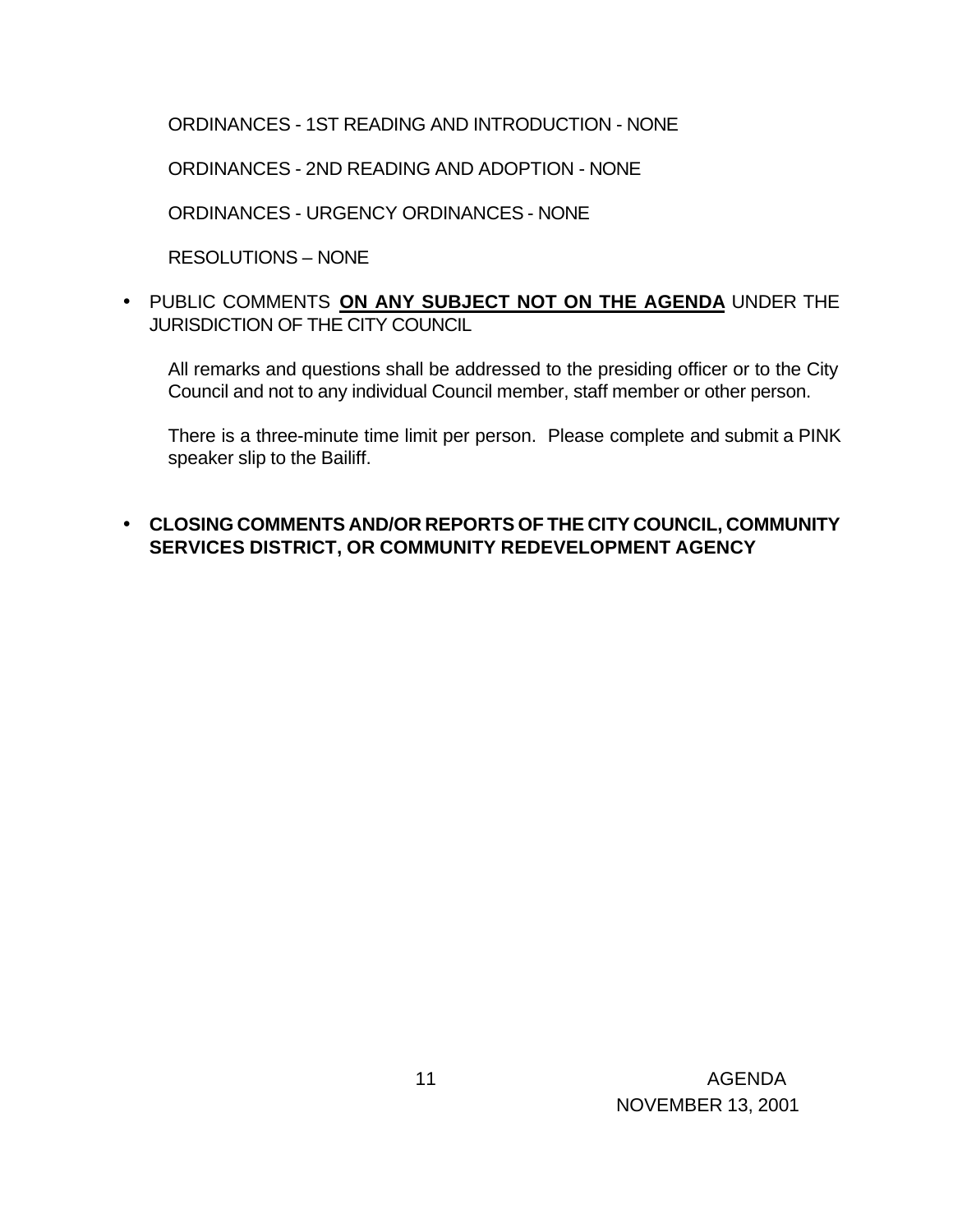ORDINANCES - 1ST READING AND INTRODUCTION - NONE

ORDINANCES - 2ND READING AND ADOPTION - NONE

ORDINANCES - URGENCY ORDINANCES - NONE

RESOLUTIONS – NONE

• PUBLIC COMMENTS **ON ANY SUBJECT NOT ON THE AGENDA** UNDER THE JURISDICTION OF THE CITY COUNCIL

All remarks and questions shall be addressed to the presiding officer or to the City Council and not to any individual Council member, staff member or other person.

There is a three-minute time limit per person. Please complete and submit a PINK speaker slip to the Bailiff.

### • **CLOSING COMMENTS AND/OR REPORTS OF THE CITY COUNCIL, COMMUNITY SERVICES DISTRICT, OR COMMUNITY REDEVELOPMENT AGENCY**